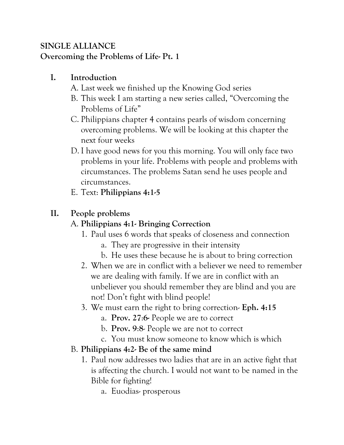## **SINGLE ALLIANCE Overcoming the Problems of Life- Pt. 1**

# **I. Introduction**

- A. Last week we finished up the Knowing God series
- B. This week I am starting a new series called, "Overcoming the Problems of Life"
- C. Philippians chapter 4 contains pearls of wisdom concerning overcoming problems. We will be looking at this chapter the next four weeks
- D. I have good news for you this morning. You will only face two problems in your life. Problems with people and problems with circumstances. The problems Satan send he uses people and circumstances.
- E. Text: **Philippians 4:1-5**

# **II. People problems**

## A. **Philippians 4:1- Bringing Correction**

- 1. Paul uses 6 words that speaks of closeness and connection
	- a. They are progressive in their intensity
	- b. He uses these because he is about to bring correction
- 2. When we are in conflict with a believer we need to remember we are dealing with family. If we are in conflict with an unbeliever you should remember they are blind and you are not! Don't fight with blind people!
- 3. We must earn the right to bring correction- **Eph. 4:15**
	- a. **Prov. 27**:**6-** People we are to correct
	- b. **Prov. 9**:**8** People we are not to correct
	- c. You must know someone to know which is which

## B. **Philippians 4:2- Be of the same mind**

- 1. Paul now addresses two ladies that are in an active fight that is affecting the church. I would not want to be named in the Bible for fighting!
	- a. Euodias- prosperous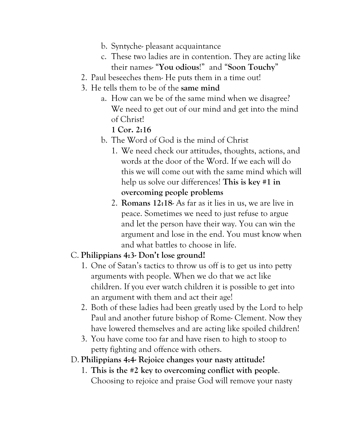- b. Syntyche- pleasant acquaintance
- c. These two ladies are in contention. They are acting like their names- "**You odious**!" and "**Soon Touchy**"
- 2. Paul beseeches them- He puts them in a time out!
- 3. He tells them to be of the **same mind**
	- a. How can we be of the same mind when we disagree? We need to get out of our mind and get into the mind of Christ!

#### **1 Cor. 2:16**

- b. The Word of God is the mind of Christ
	- 1. We need check our attitudes, thoughts, actions, and words at the door of the Word. If we each will do this we will come out with the same mind which will help us solve our differences! **This is key #1 in overcoming people problems**
	- 2. **Romans 12:18** As far as it lies in us, we are live in peace. Sometimes we need to just refuse to argue and let the person have their way. You can win the argument and lose in the end. You must know when and what battles to choose in life.

### C. **Philippians 4:3- Don't lose ground!**

- 1. One of Satan's tactics to throw us off is to get us into petty arguments with people. When we do that we act like children. If you ever watch children it is possible to get into an argument with them and act their age!
- 2. Both of these ladies had been greatly used by the Lord to help Paul and another future bishop of Rome- Clement. Now they have lowered themselves and are acting like spoiled children!
- 3. You have come too far and have risen to high to stoop to petty fighting and offence with others.
- D. **Philippians 4:4- Rejoice changes your nasty attitude!**
	- 1. **This is the #2 key to overcoming conflict with people**. Choosing to rejoice and praise God will remove your nasty